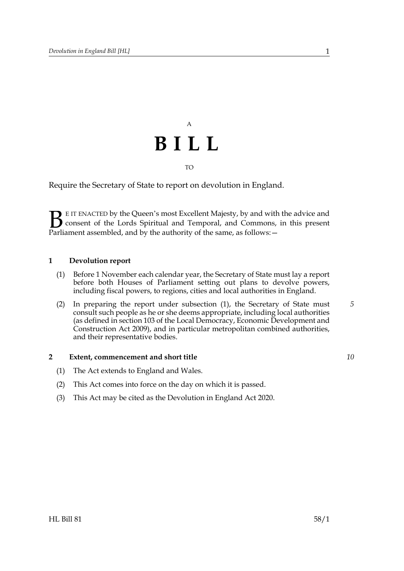## A **BILL** TO

Require the Secretary of State to report on devolution in England.

E IT ENACTED by the Queen's most Excellent Majesty, by and with the advice and consent of the Lords Spiritual and Temporal, and Commons, in this present **B** EIT ENACTED by the Queen's most Excellent Majesty, by and with consent of the Lords Spiritual and Temporal, and Commons, Parliament assembled, and by the authority of the same, as follows:  $-$ 

## **1 Devolution report**

- <span id="page-0-0"></span>(1) Before 1 November each calendar year, the Secretary of State must lay a report before both Houses of Parliament setting out plans to devolve powers, including fiscal powers, to regions, cities and local authorities in England.
- (2) In preparing the report under subsection [\(1\),](#page-0-0) the Secretary of State must consult such people as he or she deems appropriate, including local authorities (as defined in section 103 of the Local Democracy, Economic Development and Construction Act 2009), and in particular metropolitan combined authorities, and their representative bodies. *5*

## **2 Extent, commencement and short title**

- (1) The Act extends to England and Wales.
- (2) This Act comes into force on the day on which it is passed.
- (3) This Act may be cited as the Devolution in England Act 2020.